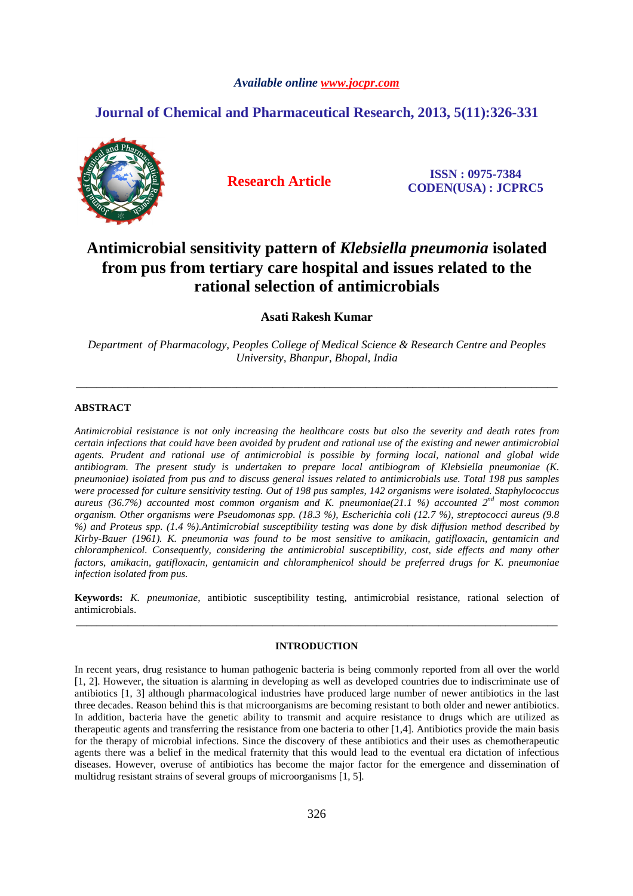#### *Available online www.jocpr.com*

## **Journal of Chemical and Pharmaceutical Research, 2013, 5(11):326-331**



**Research Article ISSN : 0975-7384 CODEN(USA) : JCPRC5**

# **Antimicrobial sensitivity pattern of** *Klebsiella pneumonia* **isolated from pus from tertiary care hospital and issues related to the rational selection of antimicrobials**

**Asati Rakesh Kumar** 

*Department of Pharmacology, Peoples College of Medical Science & Research Centre and Peoples University, Bhanpur, Bhopal, India* 

\_\_\_\_\_\_\_\_\_\_\_\_\_\_\_\_\_\_\_\_\_\_\_\_\_\_\_\_\_\_\_\_\_\_\_\_\_\_\_\_\_\_\_\_\_\_\_\_\_\_\_\_\_\_\_\_\_\_\_\_\_\_\_\_\_\_\_\_\_\_\_\_\_\_\_\_\_\_\_\_\_\_\_\_\_\_\_\_\_\_\_\_\_

#### **ABSTRACT**

*Antimicrobial resistance is not only increasing the healthcare costs but also the severity and death rates from certain infections that could have been avoided by prudent and rational use of the existing and newer antimicrobial agents. Prudent and rational use of antimicrobial is possible by forming local, national and global wide antibiogram. The present study is undertaken to prepare local antibiogram of Klebsiella pneumoniae (K. pneumoniae) isolated from pus and to discuss general issues related to antimicrobials use. Total 198 pus samples were processed for culture sensitivity testing. Out of 198 pus samples, 142 organisms were isolated. Staphylococcus aureus (36.7%) accounted most common organism and K. pneumoniae(21.1 %) accounted 2nd most common organism. Other organisms were Pseudomonas spp. (18.3 %), Escherichia coli (12.7 %), streptococci aureus (9.8 %) and Proteus spp. (1.4 %).Antimicrobial susceptibility testing was done by disk diffusion method described by Kirby-Bauer (1961). K. pneumonia was found to be most sensitive to amikacin, gatifloxacin, gentamicin and chloramphenicol. Consequently, considering the antimicrobial susceptibility, cost, side effects and many other factors, amikacin, gatifloxacin, gentamicin and chloramphenicol should be preferred drugs for K. pneumoniae infection isolated from pus.* 

**Keywords:** *K. pneumoniae*, antibiotic susceptibility testing, antimicrobial resistance, rational selection of antimicrobials. \_\_\_\_\_\_\_\_\_\_\_\_\_\_\_\_\_\_\_\_\_\_\_\_\_\_\_\_\_\_\_\_\_\_\_\_\_\_\_\_\_\_\_\_\_\_\_\_\_\_\_\_\_\_\_\_\_\_\_\_\_\_\_\_\_\_\_\_\_\_\_\_\_\_\_\_\_\_\_\_\_\_\_\_\_\_\_\_\_\_\_\_\_

### **INTRODUCTION**

In recent years, drug resistance to human pathogenic bacteria is being commonly reported from all over the world [1, 2]. However, the situation is alarming in developing as well as developed countries due to indiscriminate use of antibiotics [1, 3] although pharmacological industries have produced large number of newer antibiotics in the last three decades. Reason behind this is that microorganisms are becoming resistant to both older and newer antibiotics. In addition, bacteria have the genetic ability to transmit and acquire resistance to drugs which are utilized as therapeutic agents and transferring the resistance from one bacteria to other [1,4]. Antibiotics provide the main basis for the therapy of microbial infections. Since the discovery of these antibiotics and their uses as chemotherapeutic agents there was a belief in the medical fraternity that this would lead to the eventual era dictation of infectious diseases. However, overuse of antibiotics has become the major factor for the emergence and dissemination of multidrug resistant strains of several groups of microorganisms [1, 5].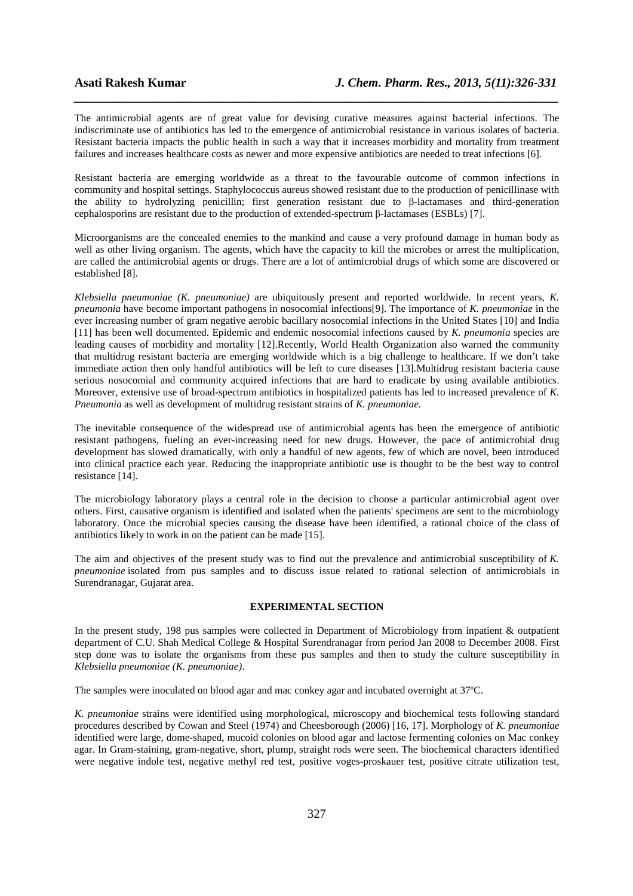The antimicrobial agents are of great value for devising curative measures against bacterial infections. The indiscriminate use of antibiotics has led to the emergence of antimicrobial resistance in various isolates of bacteria. Resistant bacteria impacts the public health in such a way that it increases morbidity and mortality from treatment failures and increases healthcare costs as newer and more expensive antibiotics are needed to treat infections [6].

*\_\_\_\_\_\_\_\_\_\_\_\_\_\_\_\_\_\_\_\_\_\_\_\_\_\_\_\_\_\_\_\_\_\_\_\_\_\_\_\_\_\_\_\_\_\_\_\_\_\_\_\_\_\_\_\_\_\_\_\_\_\_\_\_\_\_\_\_\_\_\_\_\_\_\_\_\_\_*

Resistant bacteria are emerging worldwide as a threat to the favourable outcome of common infections in community and hospital settings. Staphylococcus aureus showed resistant due to the production of penicillinase with the ability to hydrolyzing penicillin; first generation resistant due to β-lactamases and third-generation cephalosporins are resistant due to the production of extended-spectrum β-lactamases (ESBLs) [7].

Microorganisms are the concealed enemies to the mankind and cause a very profound damage in human body as well as other living organism. The agents, which have the capacity to kill the microbes or arrest the multiplication, are called the antimicrobial agents or drugs. There are a lot of antimicrobial drugs of which some are discovered or established [8].

*Klebsiella pneumoniae (K. pneumoniae)* are ubiquitously present and reported worldwide. In recent years, *K. pneumonia* have become important pathogens in nosocomial infections[9]. The importance of *K. pneumoniae* in the ever increasing number of gram negative aerobic bacillary nosocomial infections in the United States [10] and India [11] has been well documented. Epidemic and endemic nosocomial infections caused by *K. pneumonia* species are leading causes of morbidity and mortality [12].Recently, World Health Organization also warned the community that multidrug resistant bacteria are emerging worldwide which is a big challenge to healthcare. If we don't take immediate action then only handful antibiotics will be left to cure diseases [13].Multidrug resistant bacteria cause serious nosocomial and community acquired infections that are hard to eradicate by using available antibiotics. Moreover, extensive use of broad-spectrum antibiotics in hospitalized patients has led to increased prevalence of *K. Pneumonia* as well as development of multidrug resistant strains of *K. pneumoniae*.

The inevitable consequence of the widespread use of antimicrobial agents has been the emergence of antibiotic resistant pathogens, fueling an ever-increasing need for new drugs. However, the pace of antimicrobial drug development has slowed dramatically, with only a handful of new agents, few of which are novel, been introduced into clinical practice each year. Reducing the inappropriate antibiotic use is thought to be the best way to control resistance [14].

The microbiology laboratory plays a central role in the decision to choose a particular antimicrobial agent over others. First, causative organism is identified and isolated when the patients' specimens are sent to the microbiology laboratory. Once the microbial species causing the disease have been identified, a rational choice of the class of antibiotics likely to work in on the patient can be made [15].

The aim and objectives of the present study was to find out the prevalence and antimicrobial susceptibility of *K. pneumoniae* isolated from pus samples and to discuss issue related to rational selection of antimicrobials in Surendranagar, Gujarat area.

#### **EXPERIMENTAL SECTION**

In the present study, 198 pus samples were collected in Department of Microbiology from inpatient & outpatient department of C.U. Shah Medical College & Hospital Surendranagar from period Jan 2008 to December 2008. First step done was to isolate the organisms from these pus samples and then to study the culture susceptibility in *Klebsiella pneumoniae (K. pneumoniae)*.

The samples were inoculated on blood agar and mac conkey agar and incubated overnight at 37ºC.

*K. pneumoniae* strains were identified using morphological, microscopy and biochemical tests following standard procedures described by Cowan and Steel (1974) and Cheesborough (2006) [16, 17]. Morphology of *K. pneumoniae* identified were large, dome-shaped, mucoid colonies on blood agar and lactose fermenting colonies on Mac conkey agar. In Gram-staining, gram-negative, short, plump, straight rods were seen. The biochemical characters identified were negative indole test, negative methyl red test, positive voges-proskauer test, positive citrate utilization test,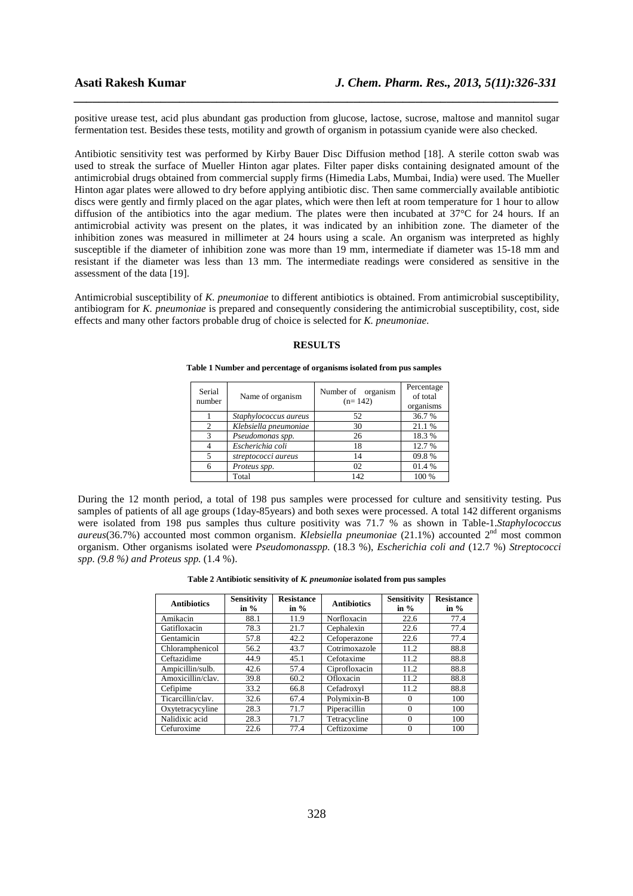positive urease test, acid plus abundant gas production from glucose, lactose, sucrose, maltose and mannitol sugar fermentation test. Besides these tests, motility and growth of organism in potassium cyanide were also checked.

*\_\_\_\_\_\_\_\_\_\_\_\_\_\_\_\_\_\_\_\_\_\_\_\_\_\_\_\_\_\_\_\_\_\_\_\_\_\_\_\_\_\_\_\_\_\_\_\_\_\_\_\_\_\_\_\_\_\_\_\_\_\_\_\_\_\_\_\_\_\_\_\_\_\_\_\_\_\_*

Antibiotic sensitivity test was performed by Kirby Bauer Disc Diffusion method [18]. A sterile cotton swab was used to streak the surface of Mueller Hinton agar plates. Filter paper disks containing designated amount of the antimicrobial drugs obtained from commercial supply firms (Himedia Labs, Mumbai, India) were used. The Mueller Hinton agar plates were allowed to dry before applying antibiotic disc. Then same commercially available antibiotic discs were gently and firmly placed on the agar plates, which were then left at room temperature for 1 hour to allow diffusion of the antibiotics into the agar medium. The plates were then incubated at 37°C for 24 hours. If an antimicrobial activity was present on the plates, it was indicated by an inhibition zone. The diameter of the inhibition zones was measured in millimeter at 24 hours using a scale. An organism was interpreted as highly susceptible if the diameter of inhibition zone was more than 19 mm, intermediate if diameter was 15-18 mm and resistant if the diameter was less than 13 mm. The intermediate readings were considered as sensitive in the assessment of the data [19].

Antimicrobial susceptibility of *K. pneumoniae* to different antibiotics is obtained. From antimicrobial susceptibility, antibiogram for *K. pneumoniae* is prepared and consequently *c*onsidering the antimicrobial susceptibility, cost, side effects and many other factors probable drug of choice is selected for *K. pneumoniae*.

#### **RESULTS**

**Table 1 Number and percentage of organisms isolated from pus samples** 

| Serial<br>number | Name of organism      | Number of organism<br>$(n=142)$ | Percentage<br>of total<br>organisms |
|------------------|-----------------------|---------------------------------|-------------------------------------|
|                  | Staphylococcus aureus | 52                              | 36.7 %                              |
| $\mathcal{D}$    | Klebsiella pneumoniae | 30                              | 21.1%                               |
| $\mathcal{R}$    | Pseudomonas spp.      | 26                              | 18.3%                               |
|                  | Escherichia coli      | 18                              | 12.7 %                              |
|                  | streptococci aureus   | 14                              | 09.8%                               |
|                  | Proteus spp.          | 02                              | 01.4 %                              |
|                  | Total                 | 142                             | 100 %                               |

During the 12 month period, a total of 198 pus samples were processed for culture and sensitivity testing. Pus samples of patients of all age groups (1day-85years) and both sexes were processed. A total 142 different organisms were isolated from 198 pus samples thus culture positivity was 71.7 % as shown in Table-1.*Staphylococcus aureus*(36.7%) accounted most common organism. *Klebsiella pneumoniae* (21.1%) accounted 2nd most common organism. Other organisms isolated were *Pseudomonasspp.* (18.3 %), *Escherichia coli and* (12.7 %) *Streptococci spp. (9.8 %) and Proteus spp.* (1.4 %).

**Table 2 Antibiotic sensitivity of** *K. pneumoniae* **isolated from pus samples** 

| <b>Antibiotics</b> | Sensitivity<br>in $\%$ | <b>Resistance</b><br>in $%$ | <b>Antibiotics</b> | Sensitivity<br>in $%$ | <b>Resistance</b><br>in $%$ |
|--------------------|------------------------|-----------------------------|--------------------|-----------------------|-----------------------------|
| Amikacin           | 88.1                   | 11.9                        | Norfloxacin        | 22.6                  | 77.4                        |
| Gatifloxacin       | 78.3                   | 21.7                        | Cephalexin         | 22.6                  | 77.4                        |
| Gentamicin         | 57.8                   | 42.2                        | Cefoperazone       | 22.6                  | 77.4                        |
| Chloramphenicol    | 56.2                   | 43.7                        | Cotrimoxazole      | 11.2                  | 88.8                        |
| Ceftazidime        | 44.9                   | 45.1                        | Cefotaxime         | 11.2                  | 88.8                        |
| Ampicillin/sulb.   | 42.6                   | 57.4                        | Ciprofloxacin      | 11.2                  | 88.8                        |
| Amoxicillin/clav.  | 39.8                   | 60.2                        | Ofloxacin          | 11.2                  | 88.8                        |
| Cefipime           | 33.2                   | 66.8                        | Cefadroxyl         | 11.2                  | 88.8                        |
| Ticarcillin/clav.  | 32.6                   | 67.4                        | Polymixin-B        | $\Omega$              | 100                         |
| Oxytetracycyline   | 28.3                   | 71.7                        | Piperacillin       | $\Omega$              | 100                         |
| Nalidixic acid     | 28.3                   | 71.7                        | Tetracycline       | $\theta$              | 100                         |
| Cefuroxime         | 22.6                   | 77.4                        | Ceftizoxime        | $\theta$              | 100                         |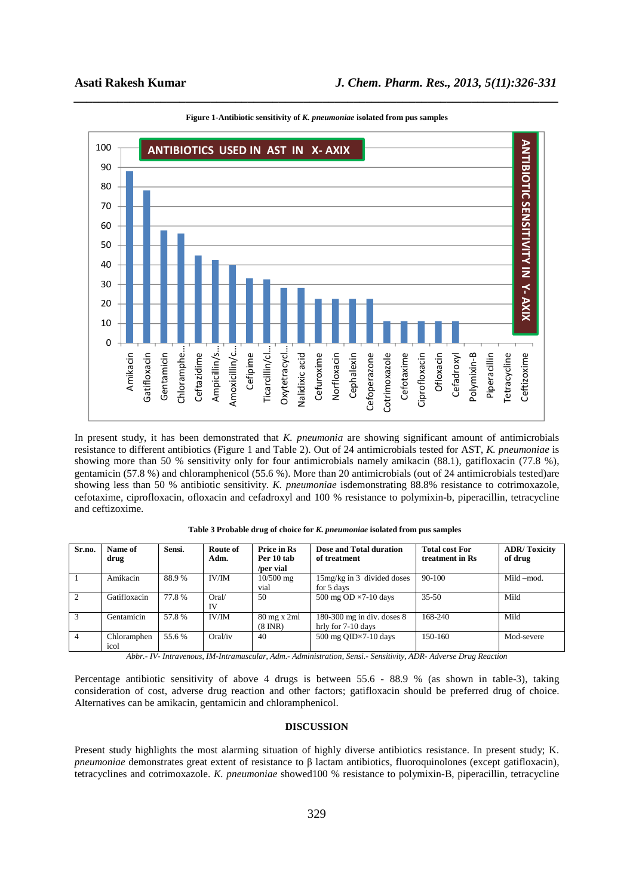

*\_\_\_\_\_\_\_\_\_\_\_\_\_\_\_\_\_\_\_\_\_\_\_\_\_\_\_\_\_\_\_\_\_\_\_\_\_\_\_\_\_\_\_\_\_\_\_\_\_\_\_\_\_\_\_\_\_\_\_\_\_\_\_\_\_\_\_\_\_\_\_\_\_\_\_\_\_\_* **Figure 1-Antibiotic sensitivity of** *K. pneumoniae* **isolated from pus samples** 

In present study, it has been demonstrated that *K. pneumonia* are showing significant amount of antimicrobials resistance to different antibiotics (Figure 1 and Table 2). Out of 24 antimicrobials tested for AST, *K. pneumoniae* is showing more than 50 % sensitivity only for four antimicrobials namely amikacin (88.1), gatifloxacin (77.8 %), gentamicin (57.8 %) and chloramphenicol (55.6 %). More than 20 antimicrobials (out of 24 antimicrobials tested)are showing less than 50 % antibiotic sensitivity. *K. pneumoniae* isdemonstrating 88.8% resistance to cotrimoxazole, cefotaxime, ciprofloxacin, ofloxacin and cefadroxyl and 100 % resistance to polymixin-b, piperacillin, tetracycline and ceftizoxime.

| Sr.no.         | Name of<br>drug     | Sensi. | Route of<br>Adm. | <b>Price in Rs</b><br>Per 10 tab<br>/per vial           | Dose and Total duration<br>of treatment            | <b>Total cost For</b><br>treatment in Rs | <b>ADR/Toxicity</b><br>of drug |
|----------------|---------------------|--------|------------------|---------------------------------------------------------|----------------------------------------------------|------------------------------------------|--------------------------------|
|                | Amikacin            | 88.9%  | IV/IM            | $10/500$ mg<br>vial                                     | 15mg/kg in 3 divided doses<br>for 5 days           | 90-100                                   | Mild -mod.                     |
| 2              | Gatifloxacin        | 77.8%  | Oral/<br>IV      | 50                                                      | 500 mg OD $\times$ 7-10 days                       | $35 - 50$                                | Mild                           |
| 3              | Gentamicin          | 57.8%  | IV/IM            | $80 \text{ mg} \times 2 \text{ml}$<br>$(8 \text{ INR})$ | 180-300 mg in div. doses $8$<br>hrly for 7-10 days | 168-240                                  | Mild                           |
| $\overline{4}$ | Chloramphen<br>icol | 55.6 % | Oral/iv          | 40                                                      | 500 mg QID $\times$ 7-10 days                      | $150-160$                                | Mod-severe                     |

**Table 3 Probable drug of choice for** *K. pneumoniae* **isolated from pus samples** 

*Abbr.- IV- Intravenous, IM-Intramuscular, Adm.- Administration, Sensi.- Sensitivity, ADR- Adverse Drug Reaction* 

Percentage antibiotic sensitivity of above 4 drugs is between 55.6 - 88.9 % (as shown in table-3), taking consideration of cost, adverse drug reaction and other factors; gatifloxacin should be preferred drug of choice. Alternatives can be amikacin, gentamicin and chloramphenicol.

#### **DISCUSSION**

Present study highlights the most alarming situation of highly diverse antibiotics resistance. In present study; K*. pneumoniae* demonstrates great extent of resistance to β lactam antibiotics, fluoroquinolones (except gatifloxacin), tetracyclines and cotrimoxazole. *K. pneumoniae* showed100 % resistance to polymixin-B, piperacillin, tetracycline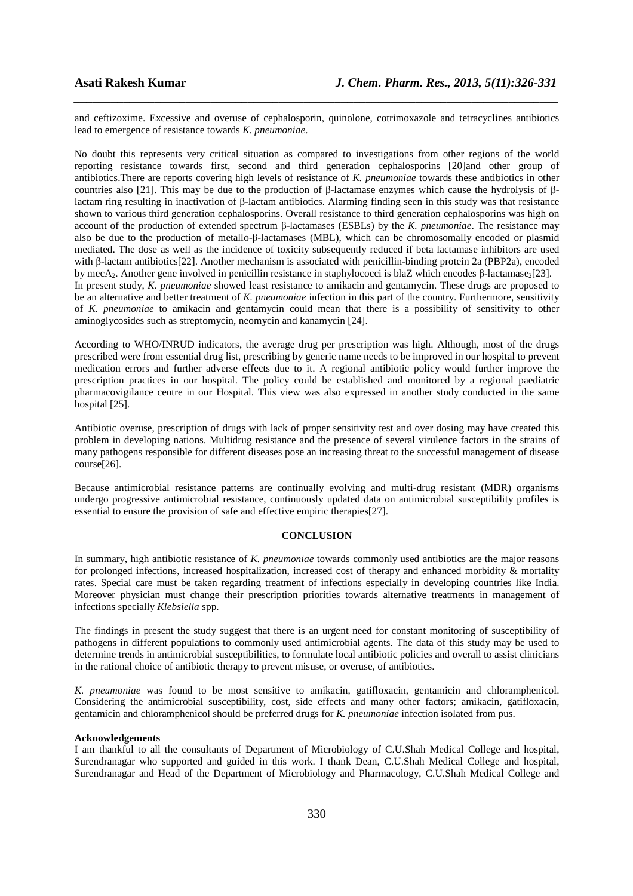and ceftizoxime. Excessive and overuse of cephalosporin, quinolone, cotrimoxazole and tetracyclines antibiotics lead to emergence of resistance towards *K. pneumoniae*.

*\_\_\_\_\_\_\_\_\_\_\_\_\_\_\_\_\_\_\_\_\_\_\_\_\_\_\_\_\_\_\_\_\_\_\_\_\_\_\_\_\_\_\_\_\_\_\_\_\_\_\_\_\_\_\_\_\_\_\_\_\_\_\_\_\_\_\_\_\_\_\_\_\_\_\_\_\_\_*

No doubt this represents very critical situation as compared to investigations from other regions of the world reporting resistance towards first, second and third generation cephalosporins [20]and other group of antibiotics.There are reports covering high levels of resistance of *K. pneumoniae* towards these antibiotics in other countries also [21]. This may be due to the production of β-lactamase enzymes which cause the hydrolysis of βlactam ring resulting in inactivation of β-lactam antibiotics. Alarming finding seen in this study was that resistance shown to various third generation cephalosporins. Overall resistance to third generation cephalosporins was high on account of the production of extended spectrum β-lactamases (ESBLs) by the *K. pneumoniae*. The resistance may also be due to the production of metallo-β-lactamases (MBL), which can be chromosomally encoded or plasmid mediated. The dose as well as the incidence of toxicity subsequently reduced if beta lactamase inhibitors are used with β-lactam antibiotics[22]. Another mechanism is associated with penicillin-binding protein 2a (PBP2a), encoded by mecA<sub>2</sub>. Another gene involved in penicillin resistance in staphylococci is blaZ which encodes β-lactamase<sub>2</sub>[23]. In present study, *K. pneumoniae* showed least resistance to amikacin and gentamycin. These drugs are proposed to be an alternative and better treatment of *K. pneumoniae* infection in this part of the country. Furthermore, sensitivity of *K. pneumoniae* to amikacin and gentamycin could mean that there is a possibility of sensitivity to other aminoglycosides such as streptomycin, neomycin and kanamycin [24].

According to WHO/INRUD indicators, the average drug per prescription was high. Although, most of the drugs prescribed were from essential drug list, prescribing by generic name needs to be improved in our hospital to prevent medication errors and further adverse effects due to it. A regional antibiotic policy would further improve the prescription practices in our hospital. The policy could be established and monitored by a regional paediatric pharmacovigilance centre in our Hospital. This view was also expressed in another study conducted in the same hospital [25].

Antibiotic overuse, prescription of drugs with lack of proper sensitivity test and over dosing may have created this problem in developing nations. Multidrug resistance and the presence of several virulence factors in the strains of many pathogens responsible for different diseases pose an increasing threat to the successful management of disease course[26].

Because antimicrobial resistance patterns are continually evolving and multi-drug resistant (MDR) organisms undergo progressive antimicrobial resistance, continuously updated data on antimicrobial susceptibility profiles is essential to ensure the provision of safe and effective empiric therapies[27].

#### **CONCLUSION**

In summary, high antibiotic resistance of *K. pneumoniae* towards commonly used antibiotics are the major reasons for prolonged infections, increased hospitalization, increased cost of therapy and enhanced morbidity & mortality rates. Special care must be taken regarding treatment of infections especially in developing countries like India. Moreover physician must change their prescription priorities towards alternative treatments in management of infections specially *Klebsiella* spp.

The findings in present the study suggest that there is an urgent need for constant monitoring of susceptibility of pathogens in different populations to commonly used antimicrobial agents. The data of this study may be used to determine trends in antimicrobial susceptibilities, to formulate local antibiotic policies and overall to assist clinicians in the rational choice of antibiotic therapy to prevent misuse, or overuse, of antibiotics.

*K. pneumoniae* was found to be most sensitive to amikacin, gatifloxacin, gentamicin and chloramphenicol. Considering the antimicrobial susceptibility, cost, side effects and many other factors; amikacin, gatifloxacin, gentamicin and chloramphenicol should be preferred drugs for *K. pneumoniae* infection isolated from pus.

#### **Acknowledgements**

I am thankful to all the consultants of Department of Microbiology of C.U.Shah Medical College and hospital, Surendranagar who supported and guided in this work. I thank Dean, C.U.Shah Medical College and hospital, Surendranagar and Head of the Department of Microbiology and Pharmacology, C.U.Shah Medical College and